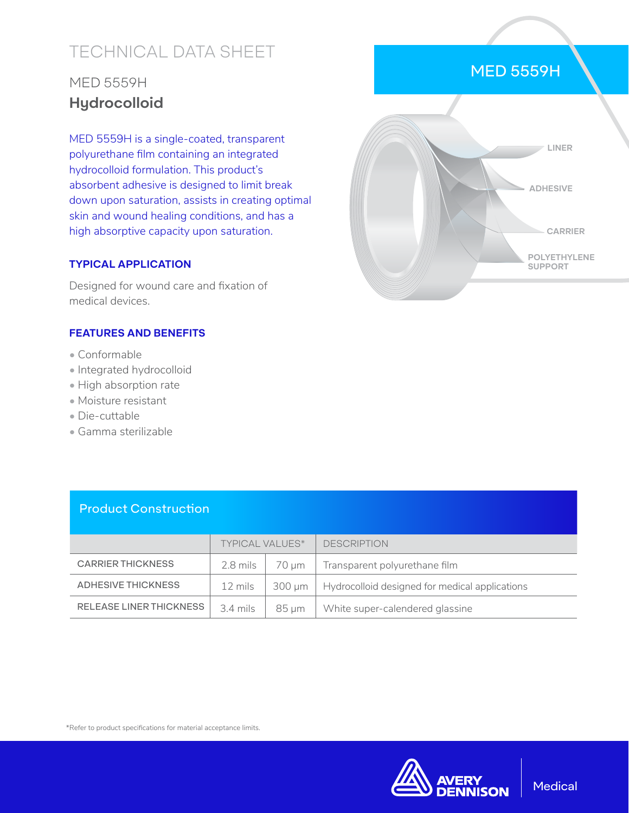# TECHNICAL DATA SHEET

## MED 5559H **Hydrocolloid**

MED 5559H is a single-coated, transparent polyurethane film containing an integrated hydrocolloid formulation. This product's absorbent adhesive is designed to limit break down upon saturation, assists in creating optimal skin and wound healing conditions, and has a high absorptive capacity upon saturation.

### **TYPICAL APPLICATION**

Designed for wound care and fixation of medical devices.

#### **FEATURES AND BENEFITS**

- Conformable
- Integrated hydrocolloid
- High absorption rate
- Moisture resistant
- Die-cuttable
- Gamma sterilizable



MED 5559H

### Product Construction

|                                | <b>TYPICAL VALUES*</b> |        | <b>DESCRIPTION</b>                             |
|--------------------------------|------------------------|--------|------------------------------------------------|
| <b>CARRIER THICKNESS</b>       | 2.8 mils               | 70 um  | Transparent polyurethane film                  |
| ADHESIVE THICKNESS             | 12 mils                | 300 um | Hydrocolloid designed for medical applications |
| <b>RELEASE LINER THICKNESS</b> | 3.4 mils               | 85 um  | White super-calendered glassine                |